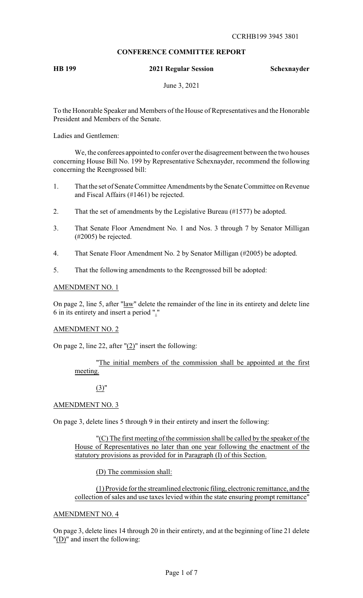# **CONFERENCE COMMITTEE REPORT**

**HB 199 2021 Regular Session Schexnayder**

June 3, 2021

To the Honorable Speaker and Members of the House of Representatives and the Honorable President and Members of the Senate.

Ladies and Gentlemen:

We, the conferees appointed to confer over the disagreement between the two houses concerning House Bill No. 199 by Representative Schexnayder, recommend the following concerning the Reengrossed bill:

- 1. That the set of Senate Committee Amendments bythe Senate Committee on Revenue and Fiscal Affairs (#1461) be rejected.
- 2. That the set of amendments by the Legislative Bureau (#1577) be adopted.
- 3. That Senate Floor Amendment No. 1 and Nos. 3 through 7 by Senator Milligan (#2005) be rejected.
- 4. That Senate Floor Amendment No. 2 by Senator Milligan (#2005) be adopted.
- 5. That the following amendments to the Reengrossed bill be adopted:

#### AMENDMENT NO. 1

On page 2, line 5, after "law" delete the remainder of the line in its entirety and delete line 6 in its entirety and insert a period "."

#### AMENDMENT NO. 2

On page 2, line 22, after " $(2)$ " insert the following:

## "The initial members of the commission shall be appointed at the first meeting.

## (3)"

## AMENDMENT NO. 3

On page 3, delete lines 5 through 9 in their entirety and insert the following:

"(C) The first meeting of the commission shall be called by the speaker of the House of Representatives no later than one year following the enactment of the statutory provisions as provided for in Paragraph (I) of this Section.

(D) The commission shall:

(1) Provide for the streamlined electronic filing, electronic remittance, and the collection of sales and use taxes levied within the state ensuring prompt remittance"

#### AMENDMENT NO. 4

On page 3, delete lines 14 through 20 in their entirety, and at the beginning of line 21 delete "(D)" and insert the following: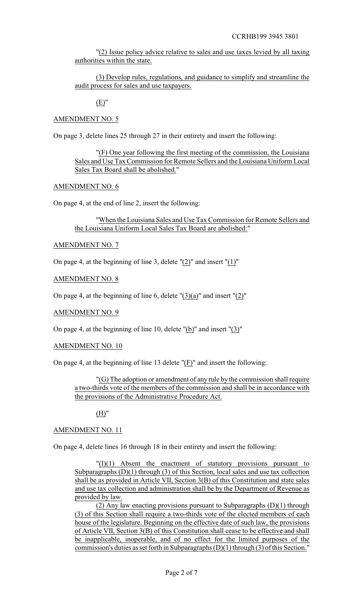"(2) Issue policy advice relative to sales and use taxes levied by all taxing authorities within the state.

(3) Develop rules, regulations, and guidance to simplify and streamline the audit process for sales and use taxpayers.

(E)"

## AMENDMENT NO. 5

On page 3, delete lines 25 through 27 in their entirety and insert the following:

"(F) One year following the first meeting of the commission, the Louisiana Sales and Use Tax Commission for Remote Sellers and the Louisiana Uniform Local Sales Tax Board shall be abolished."

## AMENDMENT NO. 6

On page 4, at the end of line 2, insert the following:

"When the Louisiana Sales and Use Tax Commission for Remote Sellers and the Louisiana Uniform Local Sales Tax Board are abolished:"

### AMENDMENT NO. 7

On page 4, at the beginning of line 3, delete "(2)" and insert "(1)"

### AMENDMENT NO. 8

On page 4, at the beginning of line 6, delete  $"(3)(a)"$  and insert  $"(2)"$ 

#### AMENDMENT NO. 9

On page 4, at the beginning of line 10, delete "(b)" and insert "(3)"

#### AMENDMENT NO. 10

On page 4, at the beginning of line 13 delete "(F)" and insert the following:

"(G) The adoption or amendment of any rule by the commission shall require a two-thirds vote of the members of the commission and shall be in accordance with the provisions of the Administrative Procedure Act.

(H)"

#### AMENDMENT NO. 11

On page 4, delete lines 16 through 18 in their entirety and insert the following:

 $T(I)(1)$  Absent the enactment of statutory provisions pursuant to Subparagraphs (D)(1) through (3) of this Section, local sales and use tax collection shall be as provided in Article VII, Section 3(B) of this Constitution and state sales and use tax collection and administration shall be by the Department of Revenue as provided by law.

(2) Any law enacting provisions pursuant to Subparagraphs (D)(1) through (3) of this Section shall require a two-thirds vote of the elected members of each house of the legislature. Beginning on the effective date of such law, the provisions of Article VII, Section 3(B) of this Constitution shall cease to be effective and shall be inapplicable, inoperable, and of no effect for the limited purposes of the commission's duties as set forth in Subparagraphs (D)(1) through (3) of this Section."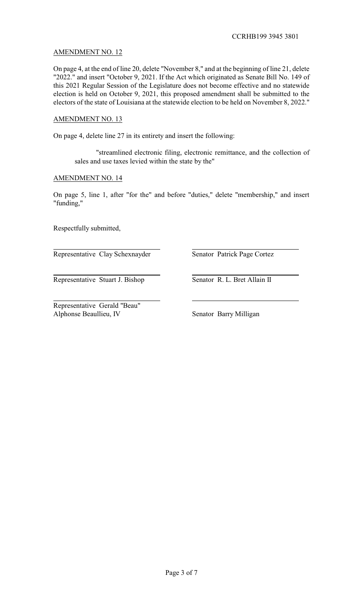# AMENDMENT NO. 12

On page 4, at the end of line 20, delete "November 8," and at the beginning of line 21, delete "2022." and insert "October 9, 2021. If the Act which originated as Senate Bill No. 149 of this 2021 Regular Session of the Legislature does not become effective and no statewide election is held on October 9, 2021, this proposed amendment shall be submitted to the electors of the state of Louisiana at the statewide election to be held on November 8, 2022."

## AMENDMENT NO. 13

On page 4, delete line 27 in its entirety and insert the following:

"streamlined electronic filing, electronic remittance, and the collection of sales and use taxes levied within the state by the"

### AMENDMENT NO. 14

On page 5, line 1, after "for the" and before "duties," delete "membership," and insert "funding,"

Respectfully submitted,

Representative Clay Schexnayder Senator Patrick Page Cortez

Representative Stuart J. Bishop Senator R. L. Bret Allain II

Representative Gerald "Beau" Alphonse Beaullieu, IV Senator Barry Milligan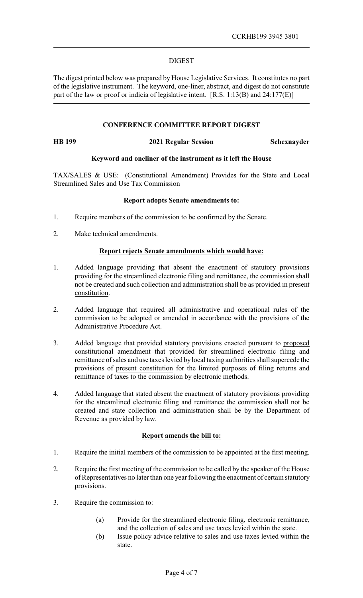#### DIGEST

The digest printed below was prepared by House Legislative Services. It constitutes no part of the legislative instrument. The keyword, one-liner, abstract, and digest do not constitute part of the law or proof or indicia of legislative intent. [R.S. 1:13(B) and 24:177(E)]

### **CONFERENCE COMMITTEE REPORT DIGEST**

**HB 199 2021 Regular Session Schexnayder**

## **Keyword and oneliner of the instrument as it left the House**

TAX/SALES & USE: (Constitutional Amendment) Provides for the State and Local Streamlined Sales and Use Tax Commission

### **Report adopts Senate amendments to:**

- 1. Require members of the commission to be confirmed by the Senate.
- 2. Make technical amendments.

### **Report rejects Senate amendments which would have:**

- 1. Added language providing that absent the enactment of statutory provisions providing for the streamlined electronic filing and remittance, the commission shall not be created and such collection and administration shall be as provided in present constitution.
- 2. Added language that required all administrative and operational rules of the commission to be adopted or amended in accordance with the provisions of the Administrative Procedure Act.
- 3. Added language that provided statutory provisions enacted pursuant to proposed constitutional amendment that provided for streamlined electronic filing and remittance of sales and use taxes levied bylocal taxing authorities shall supercede the provisions of present constitution for the limited purposes of filing returns and remittance of taxes to the commission by electronic methods.
- 4. Added language that stated absent the enactment of statutory provisions providing for the streamlined electronic filing and remittance the commission shall not be created and state collection and administration shall be by the Department of Revenue as provided by law.

#### **Report amends the bill to:**

- 1. Require the initial members of the commission to be appointed at the first meeting.
- 2. Require the first meeting of the commission to be called by the speaker of the House of Representatives no later than one year following the enactment of certain statutory provisions.
- 3. Require the commission to:
	- (a) Provide for the streamlined electronic filing, electronic remittance, and the collection of sales and use taxes levied within the state.
	- (b) Issue policy advice relative to sales and use taxes levied within the state.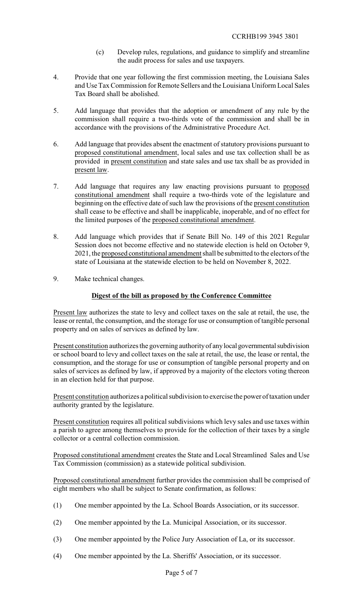- (c) Develop rules, regulations, and guidance to simplify and streamline the audit process for sales and use taxpayers.
- 4. Provide that one year following the first commission meeting, the Louisiana Sales and Use Tax Commission for Remote Sellers and the Louisiana Uniform Local Sales Tax Board shall be abolished.
- 5. Add language that provides that the adoption or amendment of any rule by the commission shall require a two-thirds vote of the commission and shall be in accordance with the provisions of the Administrative Procedure Act.
- 6. Add language that provides absent the enactment of statutory provisions pursuant to proposed constitutional amendment, local sales and use tax collection shall be as provided in present constitution and state sales and use tax shall be as provided in present law.
- 7. Add language that requires any law enacting provisions pursuant to proposed constitutional amendment shall require a two-thirds vote of the legislature and beginning on the effective date of such law the provisions of the present constitution shall cease to be effective and shall be inapplicable, inoperable, and of no effect for the limited purposes of the proposed constitutional amendment.
- 8. Add language which provides that if Senate Bill No. 149 of this 2021 Regular Session does not become effective and no statewide election is held on October 9, 2021, the proposed constitutional amendment shall be submitted to the electors of the state of Louisiana at the statewide election to be held on November 8, 2022.
- 9. Make technical changes.

# **Digest of the bill as proposed by the Conference Committee**

Present law authorizes the state to levy and collect taxes on the sale at retail, the use, the lease or rental, the consumption, and the storage for use or consumption of tangible personal property and on sales of services as defined by law.

Present constitution authorizes the governing authority of any local governmental subdivision or school board to levy and collect taxes on the sale at retail, the use, the lease or rental, the consumption, and the storage for use or consumption of tangible personal property and on sales of services as defined by law, if approved by a majority of the electors voting thereon in an election held for that purpose.

Present constitution authorizes a political subdivision to exercise the power of taxation under authority granted by the legislature.

Present constitution requires all political subdivisions which levy sales and use taxes within a parish to agree among themselves to provide for the collection of their taxes by a single collector or a central collection commission.

Proposed constitutional amendment creates the State and Local Streamlined Sales and Use Tax Commission (commission) as a statewide political subdivision.

Proposed constitutional amendment further provides the commission shall be comprised of eight members who shall be subject to Senate confirmation, as follows:

- (1) One member appointed by the La. School Boards Association, or its successor.
- (2) One member appointed by the La. Municipal Association, or its successor.
- (3) One member appointed by the Police Jury Association of La, or its successor.
- (4) One member appointed by the La. Sheriffs' Association, or its successor.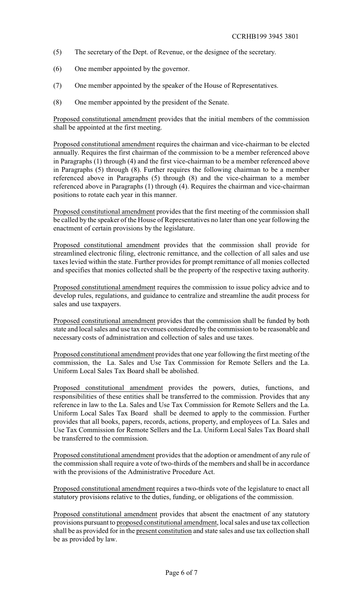- (5) The secretary of the Dept. of Revenue, or the designee of the secretary.
- (6) One member appointed by the governor.
- (7) One member appointed by the speaker of the House of Representatives.
- (8) One member appointed by the president of the Senate.

Proposed constitutional amendment provides that the initial members of the commission shall be appointed at the first meeting.

Proposed constitutional amendment requires the chairman and vice-chairman to be elected annually. Requires the first chairman of the commission to be a member referenced above in Paragraphs (1) through (4) and the first vice-chairman to be a member referenced above in Paragraphs (5) through (8). Further requires the following chairman to be a member referenced above in Paragraphs (5) through (8) and the vice-chairman to a member referenced above in Paragraphs (1) through (4). Requires the chairman and vice-chairman positions to rotate each year in this manner.

Proposed constitutional amendment provides that the first meeting of the commission shall be called by the speaker of the House of Representatives no later than one year following the enactment of certain provisions by the legislature.

Proposed constitutional amendment provides that the commission shall provide for streamlined electronic filing, electronic remittance, and the collection of all sales and use taxes levied within the state. Further provides for prompt remittance of all monies collected and specifies that monies collected shall be the property of the respective taxing authority.

Proposed constitutional amendment requires the commission to issue policy advice and to develop rules, regulations, and guidance to centralize and streamline the audit process for sales and use taxpayers.

Proposed constitutional amendment provides that the commission shall be funded by both state and local sales and use tax revenues considered by the commission to be reasonable and necessary costs of administration and collection of sales and use taxes.

Proposed constitutional amendment provides that one year following the first meeting of the commission, the La. Sales and Use Tax Commission for Remote Sellers and the La. Uniform Local Sales Tax Board shall be abolished.

Proposed constitutional amendment provides the powers, duties, functions, and responsibilities of these entities shall be transferred to the commission. Provides that any reference in law to the La. Sales and Use Tax Commission for Remote Sellers and the La. Uniform Local Sales Tax Board shall be deemed to apply to the commission. Further provides that all books, papers, records, actions, property, and employees of La. Sales and Use Tax Commission for Remote Sellers and the La. Uniform Local Sales Tax Board shall be transferred to the commission.

Proposed constitutional amendment provides that the adoption or amendment of any rule of the commission shall require a vote of two-thirds of the members and shall be in accordance with the provisions of the Administrative Procedure Act.

Proposed constitutional amendment requires a two-thirds vote of the legislature to enact all statutory provisions relative to the duties, funding, or obligations of the commission.

Proposed constitutional amendment provides that absent the enactment of any statutory provisions pursuant to proposed constitutional amendment, local sales and use tax collection shall be as provided for in the present constitution and state sales and use tax collection shall be as provided by law.